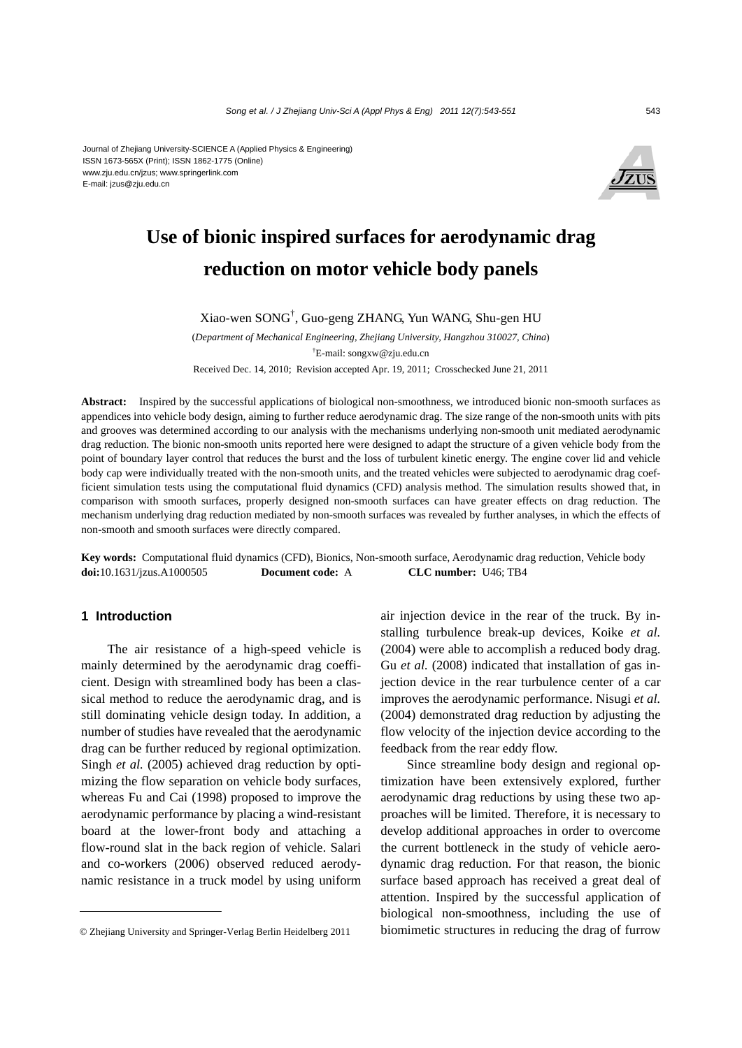Journal of Zhejiang University-SCIENCE A (Applied Physics & Engineering) ISSN 1673-565X (Print); ISSN 1862-1775 (Online) www.zju.edu.cn/jzus; www.springerlink.com E-mail: jzus@zju.edu.cn



# **Use of bionic inspired surfaces for aerodynamic drag reduction on motor vehicle body panels**

Xiao-wen SONG† , Guo-geng ZHANG, Yun WANG, Shu-gen HU

(*Department of Mechanical Engineering, Zhejiang University, Hangzhou 310027, China*) † E-mail: songxw@zju.edu.cn Received Dec. 14, 2010; Revision accepted Apr. 19, 2011; Crosschecked June 21, 2011

**Abstract:** Inspired by the successful applications of biological non-smoothness, we introduced bionic non-smooth surfaces as appendices into vehicle body design, aiming to further reduce aerodynamic drag. The size range of the non-smooth units with pits and grooves was determined according to our analysis with the mechanisms underlying non-smooth unit mediated aerodynamic drag reduction. The bionic non-smooth units reported here were designed to adapt the structure of a given vehicle body from the point of boundary layer control that reduces the burst and the loss of turbulent kinetic energy. The engine cover lid and vehicle body cap were individually treated with the non-smooth units, and the treated vehicles were subjected to aerodynamic drag coefficient simulation tests using the computational fluid dynamics (CFD) analysis method. The simulation results showed that, in comparison with smooth surfaces, properly designed non-smooth surfaces can have greater effects on drag reduction. The mechanism underlying drag reduction mediated by non-smooth surfaces was revealed by further analyses, in which the effects of non-smooth and smooth surfaces were directly compared.

**Key words:** Computational fluid dynamics (CFD), Bionics, Non-smooth surface, Aerodynamic drag reduction, Vehicle body **doi:**10.1631/jzus.A1000505 **Document code:** A **CLC number:** U46; TB4

## **1 Introduction**

The air resistance of a high-speed vehicle is mainly determined by the aerodynamic drag coefficient. Design with streamlined body has been a classical method to reduce the aerodynamic drag, and is still dominating vehicle design today. In addition, a number of studies have revealed that the aerodynamic drag can be further reduced by regional optimization. Singh *et al.* (2005) achieved drag reduction by optimizing the flow separation on vehicle body surfaces, whereas Fu and Cai (1998) proposed to improve the aerodynamic performance by placing a wind-resistant board at the lower-front body and attaching a flow-round slat in the back region of vehicle. Salari and co-workers (2006) observed reduced aerodynamic resistance in a truck model by using uniform

air injection device in the rear of the truck. By installing turbulence break-up devices, Koike *et al.*  (2004) were able to accomplish a reduced body drag. Gu *et al.* (2008) indicated that installation of gas injection device in the rear turbulence center of a car improves the aerodynamic performance. Nisugi *et al.*  (2004) demonstrated drag reduction by adjusting the flow velocity of the injection device according to the feedback from the rear eddy flow.

Since streamline body design and regional optimization have been extensively explored, further aerodynamic drag reductions by using these two approaches will be limited. Therefore, it is necessary to develop additional approaches in order to overcome the current bottleneck in the study of vehicle aerodynamic drag reduction. For that reason, the bionic surface based approach has received a great deal of attention. Inspired by the successful application of biological non-smoothness, including the use of biomimetic structures in reducing the drag of furrow

<sup>©</sup> Zhejiang University and Springer-Verlag Berlin Heidelberg 2011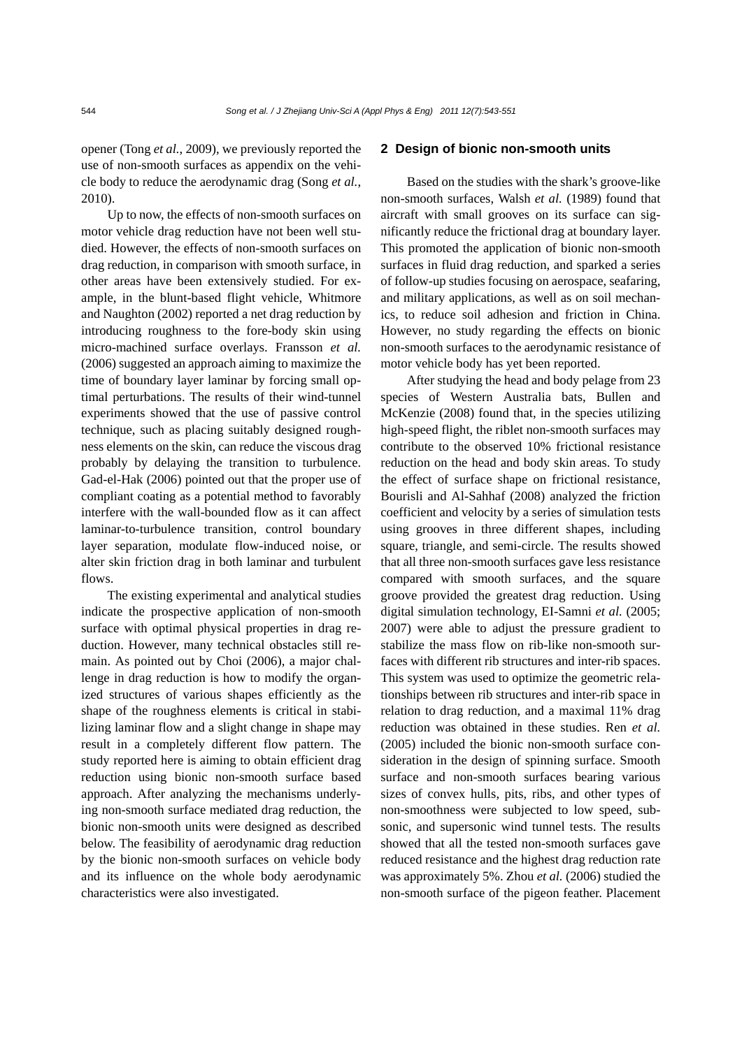opener (Tong *et al.*, 2009), we previously reported the use of non-smooth surfaces as appendix on the vehicle body to reduce the aerodynamic drag (Song *et al.*, 2010).

Up to now, the effects of non-smooth surfaces on motor vehicle drag reduction have not been well studied. However, the effects of non-smooth surfaces on drag reduction, in comparison with smooth surface, in other areas have been extensively studied. For example, in the blunt-based flight vehicle, Whitmore and Naughton (2002) reported a net drag reduction by introducing roughness to the fore-body skin using micro-machined surface overlays. Fransson *et al.*  (2006) suggested an approach aiming to maximize the time of boundary layer laminar by forcing small optimal perturbations. The results of their wind-tunnel experiments showed that the use of passive control technique, such as placing suitably designed roughness elements on the skin, can reduce the viscous drag probably by delaying the transition to turbulence. Gad-el-Hak (2006) pointed out that the proper use of compliant coating as a potential method to favorably interfere with the wall-bounded flow as it can affect laminar-to-turbulence transition, control boundary layer separation, modulate flow-induced noise, or alter skin friction drag in both laminar and turbulent flows.

The existing experimental and analytical studies indicate the prospective application of non-smooth surface with optimal physical properties in drag reduction. However, many technical obstacles still remain. As pointed out by Choi (2006), a major challenge in drag reduction is how to modify the organized structures of various shapes efficiently as the shape of the roughness elements is critical in stabilizing laminar flow and a slight change in shape may result in a completely different flow pattern. The study reported here is aiming to obtain efficient drag reduction using bionic non-smooth surface based approach. After analyzing the mechanisms underlying non-smooth surface mediated drag reduction, the bionic non-smooth units were designed as described below. The feasibility of aerodynamic drag reduction by the bionic non-smooth surfaces on vehicle body and its influence on the whole body aerodynamic characteristics were also investigated.

### **2 Design of bionic non-smooth units**

Based on the studies with the shark's groove-like non-smooth surfaces, Walsh *et al.* (1989) found that aircraft with small grooves on its surface can significantly reduce the frictional drag at boundary layer. This promoted the application of bionic non-smooth surfaces in fluid drag reduction, and sparked a series of follow-up studies focusing on aerospace, seafaring, and military applications, as well as on soil mechanics, to reduce soil adhesion and friction in China. However, no study regarding the effects on bionic non-smooth surfaces to the aerodynamic resistance of motor vehicle body has yet been reported.

After studying the head and body pelage from 23 species of Western Australia bats, Bullen and McKenzie (2008) found that, in the species utilizing high-speed flight, the riblet non-smooth surfaces may contribute to the observed 10% frictional resistance reduction on the head and body skin areas. To study the effect of surface shape on frictional resistance, Bourisli and Al-Sahhaf (2008) analyzed the friction coefficient and velocity by a series of simulation tests using grooves in three different shapes, including square, triangle, and semi-circle. The results showed that all three non-smooth surfaces gave less resistance compared with smooth surfaces, and the square groove provided the greatest drag reduction. Using digital simulation technology, EI-Samni *et al.* (2005; 2007) were able to adjust the pressure gradient to stabilize the mass flow on rib-like non-smooth surfaces with different rib structures and inter-rib spaces. This system was used to optimize the geometric relationships between rib structures and inter-rib space in relation to drag reduction, and a maximal 11% drag reduction was obtained in these studies. Ren *et al.* (2005) included the bionic non-smooth surface consideration in the design of spinning surface. Smooth surface and non-smooth surfaces bearing various sizes of convex hulls, pits, ribs, and other types of non-smoothness were subjected to low speed, subsonic, and supersonic wind tunnel tests. The results showed that all the tested non-smooth surfaces gave reduced resistance and the highest drag reduction rate was approximately 5%. Zhou *et al.* (2006) studied the non-smooth surface of the pigeon feather. Placement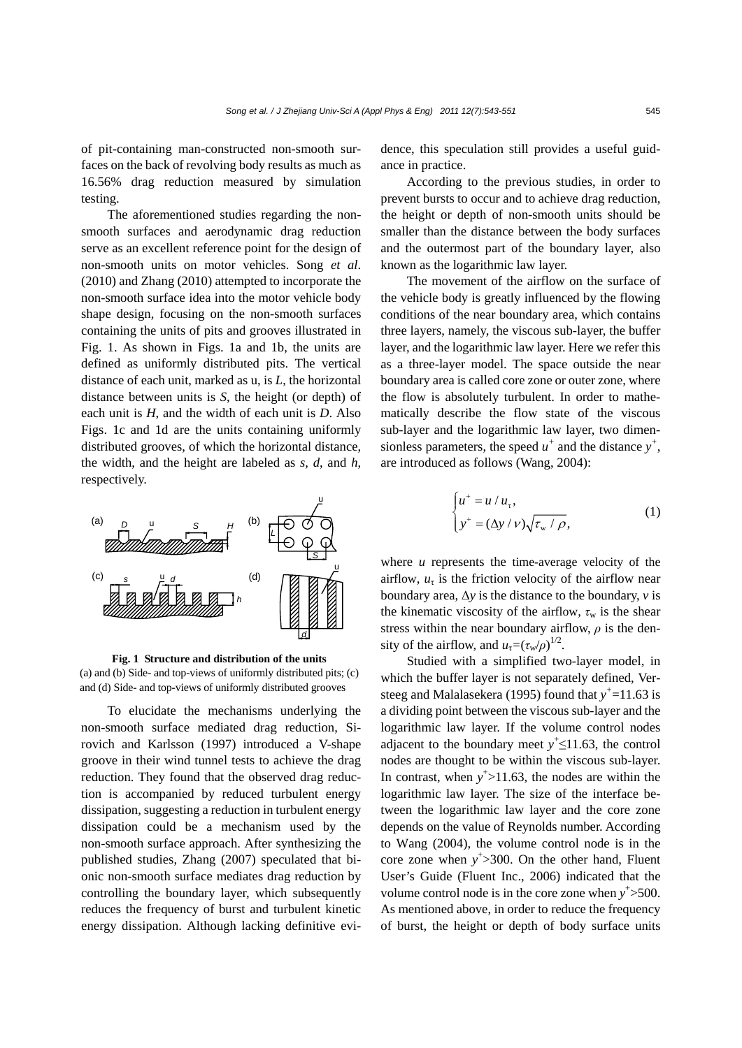of pit-containing man-constructed non-smooth surfaces on the back of revolving body results as much as 16.56% drag reduction measured by simulation testing.

The aforementioned studies regarding the nonsmooth surfaces and aerodynamic drag reduction serve as an excellent reference point for the design of non-smooth units on motor vehicles. Song *et al*. (2010) and Zhang (2010) attempted to incorporate the non-smooth surface idea into the motor vehicle body shape design, focusing on the non-smooth surfaces containing the units of pits and grooves illustrated in Fig. 1. As shown in Figs. 1a and 1b, the units are defined as uniformly distributed pits. The vertical distance of each unit, marked as u, is *L*, the horizontal distance between units is *S*, the height (or depth) of each unit is *H*, and the width of each unit is *D*. Also Figs. 1c and 1d are the units containing uniformly distributed grooves, of which the horizontal distance, the width, and the height are labeled as *s*, *d*, and *h*, respectively.



 and (d) Side- and top-views of uniformly distributed grooves **Fig. 1 Structure and distribution of the units**  (a) and (b) Side- and top-views of uniformly distributed pits; (c)

To elucidate the mechanisms underlying the non-smooth surface mediated drag reduction, Sirovich and Karlsson (1997) introduced a V-shape groove in their wind tunnel tests to achieve the drag reduction. They found that the observed drag reduction is accompanied by reduced turbulent energy dissipation, suggesting a reduction in turbulent energy dissipation could be a mechanism used by the non-smooth surface approach. After synthesizing the published studies, Zhang (2007) speculated that bionic non-smooth surface mediates drag reduction by controlling the boundary layer, which subsequently reduces the frequency of burst and turbulent kinetic energy dissipation. Although lacking definitive evidence, this speculation still provides a useful guidance in practice.

According to the previous studies, in order to prevent bursts to occur and to achieve drag reduction, the height or depth of non-smooth units should be smaller than the distance between the body surfaces and the outermost part of the boundary layer, also known as the logarithmic law layer.

The movement of the airflow on the surface of the vehicle body is greatly influenced by the flowing conditions of the near boundary area, which contains three layers, namely, the viscous sub-layer, the buffer layer, and the logarithmic law layer. Here we refer this as a three-layer model. The space outside the near boundary area is called core zone or outer zone, where the flow is absolutely turbulent. In order to mathematically describe the flow state of the viscous sub-layer and the logarithmic law layer, two dimensionless parameters, the speed  $u^+$  and the distance  $y^+$ , are introduced as follows (Wang, 2004):

$$
\begin{cases} u^+ = u/u_\tau, \\ y^+ = (\Delta y/\nu)\sqrt{\tau_w/\rho}, \end{cases}
$$
 (1)

where *u* represents the time-average velocity of the airflow,  $u_t$  is the friction velocity of the airflow near boundary area,  $\Delta y$  is the distance to the boundary,  $v$  is the kinematic viscosity of the airflow,  $\tau_w$  is the shear stress within the near boundary airflow,  $\rho$  is the density of the airflow, and  $u_\tau = (\tau_w/\rho)^{1/2}$ .

Studied with a simplified two-layer model, in which the buffer layer is not separately defined, Versteeg and Malalasekera (1995) found that  $y^+=11.63$  is a dividing point between the viscous sub-layer and the logarithmic law layer. If the volume control nodes adjacent to the boundary meet  $y^+ \leq 11.63$ , the control nodes are thought to be within the viscous sub-layer. In contrast, when  $y^+$ >11.63, the nodes are within the logarithmic law layer. The size of the interface between the logarithmic law layer and the core zone depends on the value of Reynolds number. According to Wang (2004), the volume control node is in the core zone when  $y^+$  $>$ 300. On the other hand, Fluent User's Guide (Fluent Inc., 2006) indicated that the volume control node is in the core zone when  $y^+$  > 500. As mentioned above, in order to reduce the frequency of burst, the height or depth of body surface units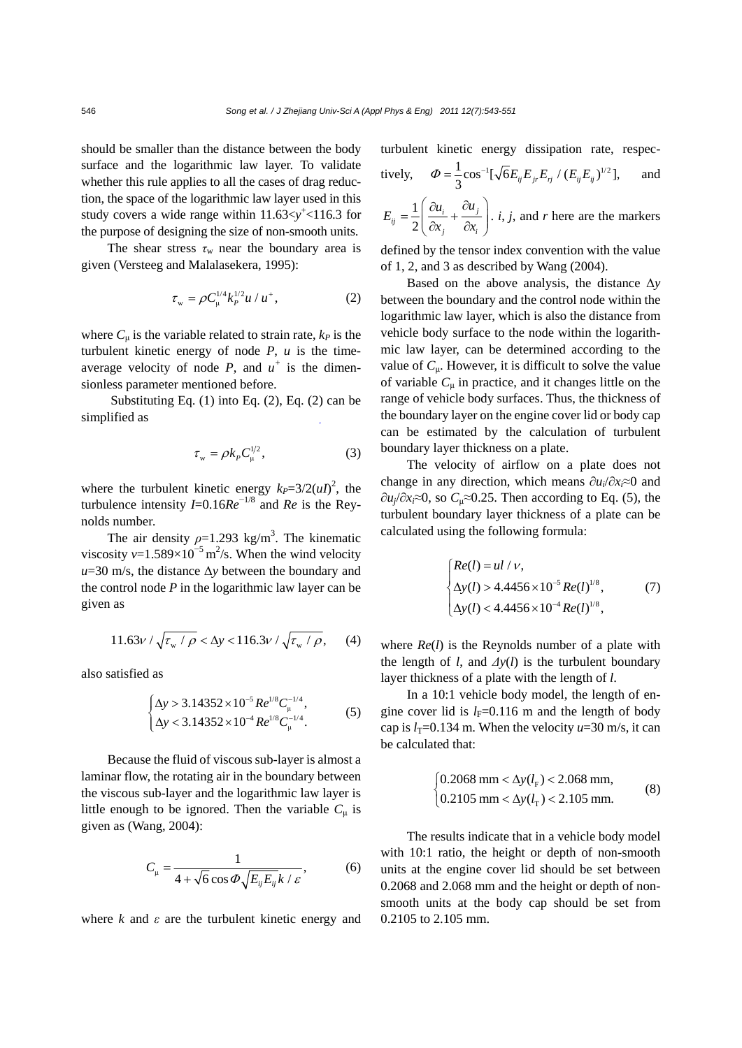should be smaller than the distance between the body surface and the logarithmic law layer. To validate whether this rule applies to all the cases of drag reduction, the space of the logarithmic law layer used in this study covers a wide range within  $11.63 \leq y^+ < 116.3$  for the purpose of designing the size of non-smooth units.

The shear stress  $\tau_w$  near the boundary area is given (Versteeg and Malalasekera, 1995):

$$
\tau_{\rm w} = \rho C_{\mu}^{1/4} k_P^{1/2} u / u^+, \qquad (2)
$$

where  $C_{\mu}$  is the variable related to strain rate,  $k_P$  is the turbulent kinetic energy of node  $P$ ,  $u$  is the timeaverage velocity of node  $P$ , and  $u^+$  is the dimensionless parameter mentioned before.

 Substituting Eq. (1) into Eq. (2), Eq. (2) can be simplified as

$$
\tau_{\rm w} = \rho k_{\rm p} C_{\rm \mu}^{1/2},\tag{3}
$$

where the turbulent kinetic energy  $k_P = 3/2(uI)^2$ , the turbulence intensity *I*=0.16*Re*<sup>−</sup>1/8 and *Re* is the Reynolds number*.*

The air density  $\rho = 1.293 \text{ kg/m}^3$ . The kinematic viscosity  $v=1.589\times10^{-5}$  m<sup>2</sup>/s. When the wind velocity *u*=30 m/s, the distance Δ*y* between the boundary and the control node  $P$  in the logarithmic law layer can be given as

11.63
$$
v / \sqrt{\tau_w / \rho} < \Delta y < 116.3v / \sqrt{\tau_w / \rho}
$$
, (4)

also satisfied as

$$
\begin{cases} \Delta y > 3.14352 \times 10^{-5} Re^{1/8} C_{\mu}^{-1/4}, \\ \Delta y < 3.14352 \times 10^{-4} Re^{1/8} C_{\mu}^{-1/4}. \end{cases} (5)
$$

Because the fluid of viscous sub-layer is almost a laminar flow, the rotating air in the boundary between the viscous sub-layer and the logarithmic law layer is little enough to be ignored. Then the variable  $C_{\mu}$  is given as (Wang, 2004):

$$
C_{\mu} = \frac{1}{4 + \sqrt{6} \cos \Phi \sqrt{E_{ij} E_{ij}} k / \varepsilon},
$$
 (6)

where  $k$  and  $\varepsilon$  are the turbulent kinetic energy and

turbulent kinetic energy dissipation rate, respectively,  $\phi = \frac{1}{2} \cos^{-1} [\sqrt{6} E_{ii} E_{i}, E_{ri} / (E_{ii} E_{ii})^{1/2}],$  $\Phi = \frac{1}{3} \cos^{-1} [\sqrt{6E_{ij}E_{jr}E_{rj}} / (E_{ij}E_{ij})^{1/2}]$ , and 1 2  $\frac{d}{dy} = \frac{1}{2} \left| \frac{\partial u_i}{\partial x} + \frac{\partial u_j}{\partial y} \right|$  $E_{ii} = \frac{1}{2} \left( \frac{\partial u_i}{\partial x_i} + \frac{\partial u_i}{\partial y_i} \right)$  $\partial x_i = \partial x$  $\begin{pmatrix} \frac{\partial u_i}{\partial u_j} & \frac{\partial u_j}{\partial u_j} \end{pmatrix}$  $=\frac{1}{2} \left| \frac{\partial u_i}{\partial} + \frac{\partial u_j}{\partial} \right|$  $\left(\frac{\partial x_i}{\partial x_j} + \frac{\partial x_j}{\partial x_i}\right)$ , *i*, *j*, and *r* here are the markers

defined by the tensor index convention with the value of 1, 2, and 3 as described by Wang (2004).

 $j$   $\alpha_i$ 

Based on the above analysis, the distance Δ*y* between the boundary and the control node within the logarithmic law layer, which is also the distance from vehicle body surface to the node within the logarithmic law layer, can be determined according to the value of  $C_{\mu}$ . However, it is difficult to solve the value of variable  $C_{\mu}$  in practice, and it changes little on the range of vehicle body surfaces. Thus, the thickness of the boundary layer on the engine cover lid or body cap can be estimated by the calculation of turbulent boundary layer thickness on a plate.

The velocity of airflow on a plate does not change in any direction, which means *∂ui*/*∂xi*≈0 and *∂uj*/*∂xi*≈0, so *C*μ≈0.25. Then according to Eq. (5), the turbulent boundary layer thickness of a plate can be calculated using the following formula:

$$
\begin{cases}\nRe(l) = ul / \nu, \\
\Delta y(l) > 4.4456 \times 10^{-5} Re(l)^{1/8}, \\
\Delta y(l) < 4.4456 \times 10^{-4} Re(l)^{1/8},\n\end{cases}
$$
\n(7)

where *Re*(*l*) is the Reynolds number of a plate with the length of *l*, and  $\Delta y(l)$  is the turbulent boundary layer thickness of a plate with the length of *l*.

In a 10:1 vehicle body model, the length of engine cover lid is  $l_F$ =0.116 m and the length of body cap is  $l_T$ =0.134 m. When the velocity  $u$ =30 m/s, it can be calculated that:

$$
\begin{cases}\n0.2068 \text{ mm} < \Delta y(l_{\text{F}}) < 2.068 \text{ mm}, \\
0.2105 \text{ mm} < \Delta y(l_{\text{T}}) < 2.105 \text{ mm}.\n\end{cases}\n\tag{8}
$$

The results indicate that in a vehicle body model with 10:1 ratio, the height or depth of non-smooth units at the engine cover lid should be set between 0.2068 and 2.068 mm and the height or depth of nonsmooth units at the body cap should be set from 0.2105 to 2.105 mm.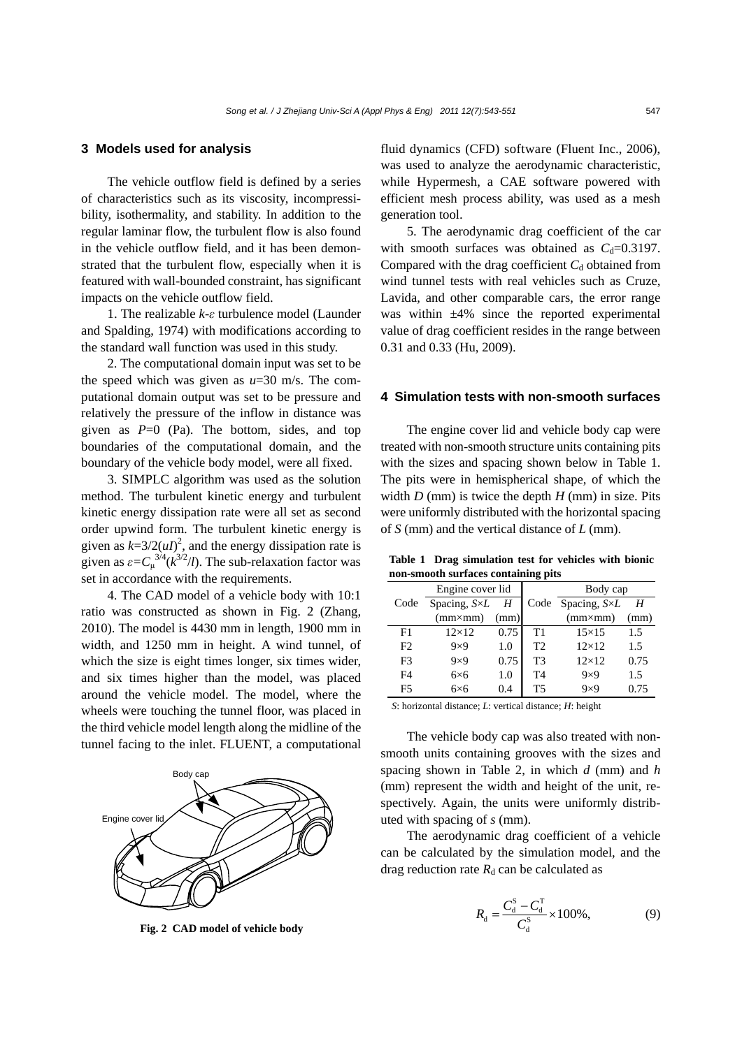## **3 Models used for analysis**

The vehicle outflow field is defined by a series of characteristics such as its viscosity, incompressibility, isothermality, and stability. In addition to the regular laminar flow, the turbulent flow is also found in the vehicle outflow field, and it has been demonstrated that the turbulent flow, especially when it is featured with wall-bounded constraint, has significant impacts on the vehicle outflow field.

1. The realizable *k-ε* turbulence model (Launder and Spalding, 1974) with modifications according to the standard wall function was used in this study.

2. The computational domain input was set to be the speed which was given as *u*=30 m/s. The computational domain output was set to be pressure and relatively the pressure of the inflow in distance was given as  $P=0$  (Pa). The bottom, sides, and top boundaries of the computational domain, and the boundary of the vehicle body model, were all fixed.

3. SIMPLC algorithm was used as the solution method. The turbulent kinetic energy and turbulent kinetic energy dissipation rate were all set as second order upwind form. The turbulent kinetic energy is given as  $k=3/2(uI)^2$ , and the energy dissipation rate is given as  $\varepsilon = C_{\mu}^{3/4} (k^{3/2}/l)$ . The sub-relaxation factor was set in accordance with the requirements.

4. The CAD model of a vehicle body with 10:1 ratio was constructed as shown in Fig. 2 (Zhang, 2010). The model is 4430 mm in length, 1900 mm in width, and 1250 mm in height. A wind tunnel, of which the size is eight times longer, six times wider, and six times higher than the model, was placed around the vehicle model. The model, where the wheels were touching the tunnel floor, was placed in the third vehicle model length along the midline of the tunnel facing to the inlet. FLUENT, a computational



**Fig. 2 CAD model of vehicle body** 

fluid dynamics (CFD) software (Fluent Inc., 2006), was used to analyze the aerodynamic characteristic, while Hypermesh, a CAE software powered with efficient mesh process ability, was used as a mesh generation tool.

5. The aerodynamic drag coefficient of the car with smooth surfaces was obtained as  $C_d$ =0.3197. Compared with the drag coefficient  $C_d$  obtained from wind tunnel tests with real vehicles such as Cruze, Lavida, and other comparable cars, the error range was within  $\pm 4\%$  since the reported experimental value of drag coefficient resides in the range between 0.31 and 0.33 (Hu, 2009).

## **4 Simulation tests with non-smooth surfaces**

The engine cover lid and vehicle body cap were treated with non-smooth structure units containing pits with the sizes and spacing shown below in Table 1. The pits were in hemispherical shape, of which the width  $D$  (mm) is twice the depth  $H$  (mm) in size. Pits were uniformly distributed with the horizontal spacing of *S* (mm) and the vertical distance of *L* (mm).

**Table 1 Drag simulation test for vehicles with bionic non-smooth surfaces containing pits**

|      | Engine cover lid |      |                | Body cap                        |      |  |
|------|------------------|------|----------------|---------------------------------|------|--|
| Code | Spacing, S×L     | H    | Code           | Spacing, $S \times L$           | Н    |  |
|      | $(mm \times m)$  | (mm) |                | $(mm \times m)$                 | (mm) |  |
| F1   | $12\times 12$    | 0.75 | T1             | $15\times15$                    | 1.5  |  |
| F2   | $9\times9$       | 1.0  | T <sub>2</sub> | $12\times12$                    | 1.5  |  |
| F3   | $9\times9$       | 0.75 | T3             | $12\times12$                    | 0.75 |  |
| F4   | $6\times 6$      | 1.0  | T4             | $9\times9$                      | 1.5  |  |
| F5   | $6\times 6$      | 0.4  | Т5             | $\mathsf{Q}_{\times}\mathsf{Q}$ | 0.75 |  |

*S*: horizontal distance; *L*: vertical distance; *H*: height

The vehicle body cap was also treated with nonsmooth units containing grooves with the sizes and spacing shown in Table 2, in which *d* (mm) and *h* (mm) represent the width and height of the unit, respectively. Again, the units were uniformly distributed with spacing of *s* (mm).

The aerodynamic drag coefficient of a vehicle can be calculated by the simulation model, and the drag reduction rate  $R_d$  can be calculated as

$$
R_{\rm d} = \frac{C_{\rm d}^{\rm S} - C_{\rm d}^{\rm T}}{C_{\rm d}^{\rm S}} \times 100\%,\tag{9}
$$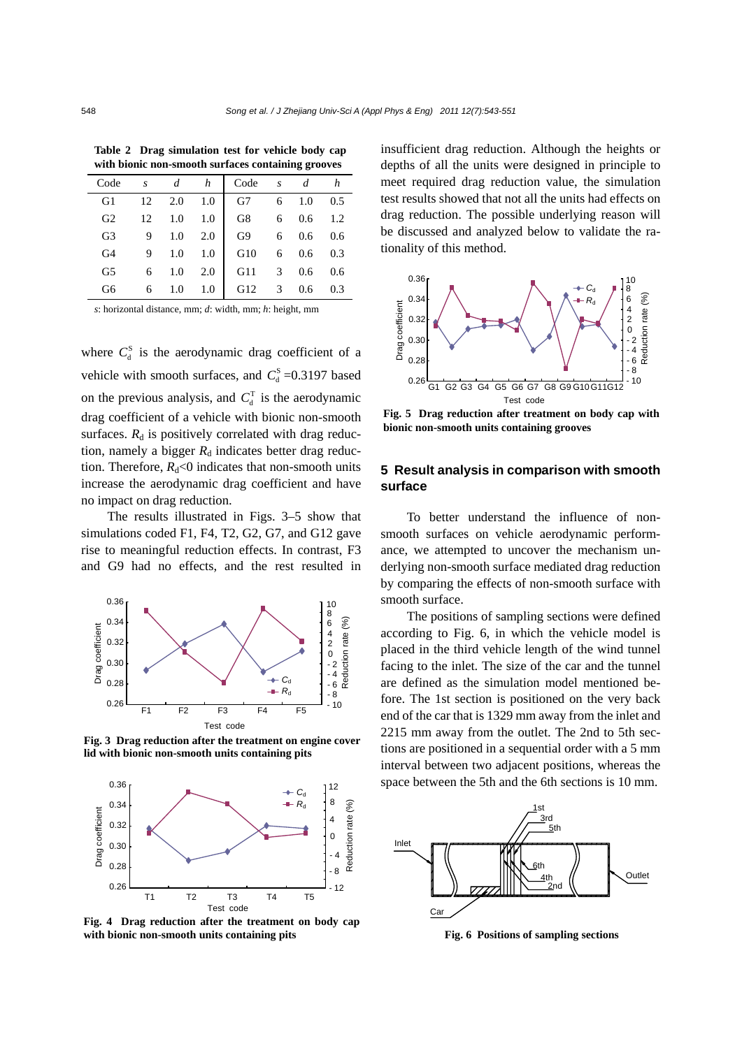**Table 2 Drag simulation test for vehicle body cap with bionic non-smooth surfaces containing grooves**

|    |  | Code $s$ d $h$ Code $s$ d $h$                                                                                                                                                             |  |  |
|----|--|-------------------------------------------------------------------------------------------------------------------------------------------------------------------------------------------|--|--|
| G1 |  | 12  2.0  1.0  G7  6  1.0  0.5                                                                                                                                                             |  |  |
| G2 |  |                                                                                                                                                                                           |  |  |
| G3 |  |                                                                                                                                                                                           |  |  |
| G4 |  |                                                                                                                                                                                           |  |  |
| G5 |  | $\begin{array}{cccc cccc} 12 & 1.0 & 1.0 & 68 & 6 & 0.6 & 1.2 \\ 9 & 1.0 & 2.0 & 69 & 6 & 0.6 & 0.6 \\ 9 & 1.0 & 1.0 & 60 & 0.6 & 0.3 \\ 6 & 1.0 & 2.0 & 611 & 3 & 0.6 & 0.6 \end{array}$ |  |  |
| G6 |  | 6 1.0 1.0 G12 3 0.6 0.3                                                                                                                                                                   |  |  |

*s*: horizontal distance, mm; *d*: width, mm; *h*: height, mm

where  $C_d^S$  is the aerodynamic drag coefficient of a vehicle with smooth surfaces, and  $C_d^s = 0.3197$  based on the previous analysis, and  $C_d^T$  is the aerodynamic drag coefficient of a vehicle with bionic non-smooth surfaces.  $R_d$  is positively correlated with drag reduction, namely a bigger  $R_d$  indicates better drag reduction. Therefore,  $R_d$ <0 indicates that non-smooth units increase the aerodynamic drag coefficient and have no impact on drag reduction.

The results illustrated in Figs. 3–5 show that simulations coded F1, F4, T2, G2, G7, and G12 gave rise to meaningful reduction effects. In contrast, F3 and G9 had no effects, and the rest resulted in



**Fig. 3 Drag reduction after the treatment on engine cover lid with bionic non-smooth units containing pits** 



**Fig. 4 Drag reduction after the treatment on body cap with bionic non-smooth units containing pits** 

insufficient drag reduction. Although the heights or depths of all the units were designed in principle to meet required drag reduction value, the simulation test results showed that not all the units had effects on drag reduction. The possible underlying reason will be discussed and analyzed below to validate the rationality of this method.



**Fig. 5 Drag reduction after treatment on body cap with bionic non-smooth units containing grooves** 

## **5 Result analysis in comparison with smooth surface**

To better understand the influence of nonsmooth surfaces on vehicle aerodynamic performance, we attempted to uncover the mechanism underlying non-smooth surface mediated drag reduction by comparing the effects of non-smooth surface with smooth surface.

The positions of sampling sections were defined according to Fig. 6, in which the vehicle model is placed in the third vehicle length of the wind tunnel facing to the inlet. The size of the car and the tunnel are defined as the simulation model mentioned before. The 1st section is positioned on the very back end of the car that is 1329 mm away from the inlet and 2215 mm away from the outlet. The 2nd to 5th sections are positioned in a sequential order with a 5 mm interval between two adjacent positions, whereas the space between the 5th and the 6th sections is 10 mm.



**Fig. 6 Positions of sampling sections**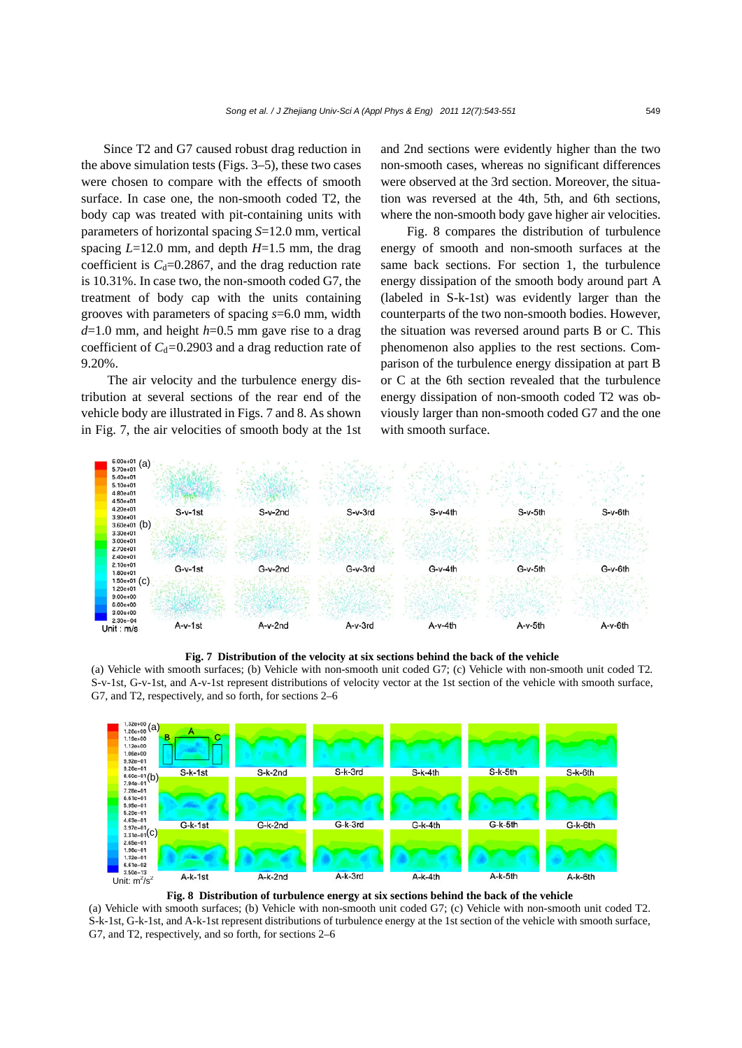Since T2 and G7 caused robust drag reduction in the above simulation tests (Figs. 3–5), these two cases were chosen to compare with the effects of smooth surface. In case one, the non-smooth coded T2, the body cap was treated with pit-containing units with parameters of horizontal spacing *S*=12.0 mm, vertical spacing *L*=12.0 mm, and depth *H*=1.5 mm, the drag coefficient is  $C_d$ =0.2867, and the drag reduction rate is 10.31%. In case two, the non-smooth coded G7, the treatment of body cap with the units containing grooves with parameters of spacing *s*=6.0 mm, width *d*=1.0 mm, and height *h*=0.5 mm gave rise to a drag coefficient of  $C_d$ =0.2903 and a drag reduction rate of 9.20%.

The air velocity and the turbulence energy distribution at several sections of the rear end of the vehicle body are illustrated in Figs. 7 and 8. As shown in Fig. 7, the air velocities of smooth body at the 1st and 2nd sections were evidently higher than the two non-smooth cases, whereas no significant differences were observed at the 3rd section. Moreover, the situation was reversed at the 4th, 5th, and 6th sections, where the non-smooth body gave higher air velocities.

Fig. 8 compares the distribution of turbulence energy of smooth and non-smooth surfaces at the same back sections. For section 1, the turbulence energy dissipation of the smooth body around part A (labeled in S-k-1st) was evidently larger than the counterparts of the two non-smooth bodies. However, the situation was reversed around parts B or C. This phenomenon also applies to the rest sections. Comparison of the turbulence energy dissipation at part B or C at the 6th section revealed that the turbulence energy dissipation of non-smooth coded T2 was obviously larger than non-smooth coded G7 and the one with smooth surface.



**Fig. 7 Distribution of the velocity at six sections behind the back of the vehicle** 

(a) Vehicle with smooth surfaces; (b) Vehicle with non-smooth unit coded G7; (c) Vehicle with non-smooth unit coded T2*.* S-v-1st, G-v-1st, and A-v-1st represent distributions of velocity vector at the 1st section of the vehicle with smooth surface, G7, and T2*,* respectively, and so forth, for sections 2–6



**Fig. 8 Distribution of turbulence energy at six sections behind the back of the vehicle** 

(a) Vehicle with smooth surfaces; (b) Vehicle with non-smooth unit coded G7; (c) Vehicle with non-smooth unit coded T2. S-k-1st, G-k-1st, and A-k-1st represent distributions of turbulence energy at the 1st section of the vehicle with smooth surface, G7, and T2, respectively, and so forth, for sections 2–6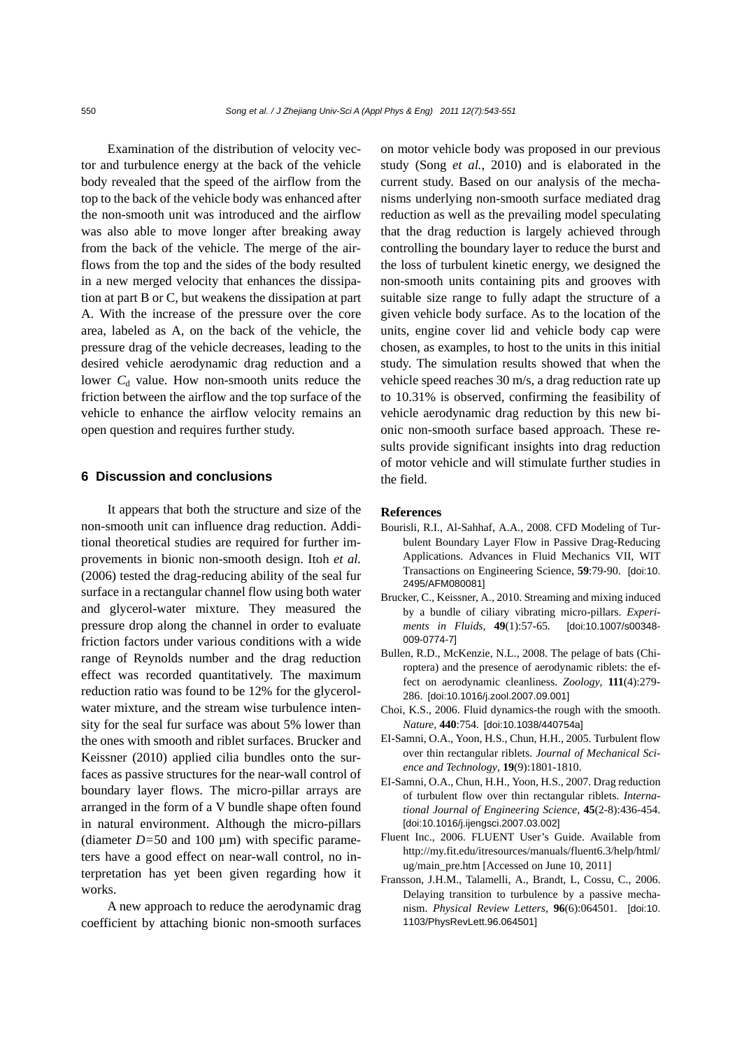Examination of the distribution of velocity vector and turbulence energy at the back of the vehicle body revealed that the speed of the airflow from the top to the back of the vehicle body was enhanced after the non-smooth unit was introduced and the airflow was also able to move longer after breaking away from the back of the vehicle. The merge of the airflows from the top and the sides of the body resulted in a new merged velocity that enhances the dissipation at part B or C, but weakens the dissipation at part A. With the increase of the pressure over the core area, labeled as A, on the back of the vehicle, the pressure drag of the vehicle decreases, leading to the desired vehicle aerodynamic drag reduction and a lower  $C_d$  value. How non-smooth units reduce the friction between the airflow and the top surface of the vehicle to enhance the airflow velocity remains an open question and requires further study.

### **6 Discussion and conclusions**

It appears that both the structure and size of the non-smooth unit can influence drag reduction. Additional theoretical studies are required for further improvements in bionic non-smooth design. Itoh *et al.* (2006) tested the drag-reducing ability of the seal fur surface in a rectangular channel flow using both water and glycerol-water mixture. They measured the pressure drop along the channel in order to evaluate friction factors under various conditions with a wide range of Reynolds number and the drag reduction effect was recorded quantitatively. The maximum reduction ratio was found to be 12% for the glycerolwater mixture, and the stream wise turbulence intensity for the seal fur surface was about 5% lower than the ones with smooth and riblet surfaces. Brucker and Keissner (2010) applied cilia bundles onto the surfaces as passive structures for the near-wall control of boundary layer flows. The micro-pillar arrays are arranged in the form of a V bundle shape often found in natural environment. Although the micro-pillars (diameter *D=*50 and 100 µm) with specific parameters have a good effect on near-wall control, no interpretation has yet been given regarding how it works.

A new approach to reduce the aerodynamic drag coefficient by attaching bionic non-smooth surfaces on motor vehicle body was proposed in our previous study (Song *et al.*, 2010) and is elaborated in the current study. Based on our analysis of the mechanisms underlying non-smooth surface mediated drag reduction as well as the prevailing model speculating that the drag reduction is largely achieved through controlling the boundary layer to reduce the burst and the loss of turbulent kinetic energy, we designed the non-smooth units containing pits and grooves with suitable size range to fully adapt the structure of a given vehicle body surface. As to the location of the units, engine cover lid and vehicle body cap were chosen, as examples, to host to the units in this initial study. The simulation results showed that when the vehicle speed reaches 30 m/s, a drag reduction rate up to 10.31% is observed, confirming the feasibility of vehicle aerodynamic drag reduction by this new bionic non-smooth surface based approach. These results provide significant insights into drag reduction of motor vehicle and will stimulate further studies in the field.

#### **References**

- Bourisli, R.I., Al-Sahhaf, A.A., 2008. CFD Modeling of Turbulent Boundary Layer Flow in Passive Drag-Reducing Applications. Advances in Fluid Mechanics VII, WIT Transactions on Engineering Science, **59**:79-90. [doi:10. 2495/AFM080081]
- Brucker, C., Keissner, A., 2010. Streaming and mixing induced by a bundle of ciliary vibrating micro-pillars. *Experiments in Fluids*, **49**(1):57-65. [doi:10.1007/s00348- 009-0774-7]
- Bullen, R.D., McKenzie, N.L., 2008. The pelage of bats (Chiroptera) and the presence of aerodynamic riblets: the effect on aerodynamic cleanliness. *Zoology*, **111**(4):279- 286. [doi:10.1016/j.zool.2007.09.001]
- Choi, K.S., 2006. Fluid dynamics-the rough with the smooth. *Nature,* **440**:754. [doi:10.1038/440754a]
- EI-Samni, O.A., Yoon, H.S., Chun, H.H., 2005. Turbulent flow over thin rectangular riblets. *Journal of Mechanical Science and Technology*, **19**(9):1801-1810.
- EI-Samni, O.A., Chun, H.H., Yoon, H.S., 2007. Drag reduction of turbulent flow over thin rectangular riblets. *International Journal of Engineering Science*, **45**(2-8):436-454. [doi:10.1016/j.ijengsci.2007.03.002]
- Fluent Inc., 2006. FLUENT User's Guide. Available from http://my.fit.edu/itresources/manuals/fluent6.3/help/html/ ug/main\_pre.htm [Accessed on June 10, 2011]
- Fransson, J.H.M., Talamelli, A., Brandt, L, Cossu, C., 2006. Delaying transition to turbulence by a passive mechanism. *Physical Review Letters*, **96**(6):064501. [doi:10. 1103/PhysRevLett.96.064501]